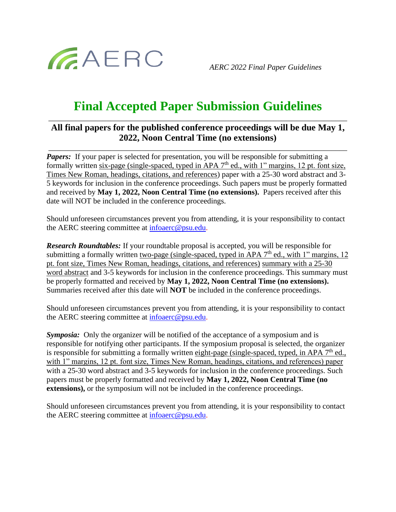

*AERC 2022 Final Paper Guidelines*

## **Final Accepted Paper Submission Guidelines** \_\_\_\_\_\_\_\_\_\_\_\_\_\_\_\_\_\_\_\_\_\_\_\_\_\_\_\_\_\_\_\_\_\_\_\_\_\_\_\_\_\_\_\_\_\_\_\_\_\_\_\_\_\_\_\_\_\_\_\_\_\_\_\_\_\_\_\_\_\_\_\_\_\_\_\_\_

## **All final papers for the published conference proceedings will be due May 1, 2022, Noon Central Time (no extensions)**

\_\_\_\_\_\_\_\_\_\_\_\_\_\_\_\_\_\_\_\_\_\_\_\_\_\_\_\_\_\_\_\_\_\_\_\_\_\_\_\_\_\_\_\_\_\_\_\_\_\_\_\_\_\_\_\_\_\_\_\_\_\_\_\_\_\_\_\_\_\_\_\_\_\_\_\_\_

*Papers:* If your paper is selected for presentation, you will be responsible for submitting a formally written six-page (single-spaced, typed in APA 7<sup>th</sup> ed., with 1" margins, 12 pt. font size, Times New Roman, headings, citations, and references) paper with a 25-30 word abstract and 3- 5 keywords for inclusion in the conference proceedings. Such papers must be properly formatted and received by **May 1, 2022, Noon Central Time (no extensions).** Papers received after this date will NOT be included in the conference proceedings.

Should unforeseen circumstances prevent you from attending, it is your responsibility to contact the AERC steering committee at [infoaerc@psu.edu.](mailto:infoaerc@psu.edu)

*Research Roundtables:* If your roundtable proposal is accepted, you will be responsible for submitting a formally written <u>two-page (single-spaced, typed in APA  $7<sup>th</sup>$  ed., with 1<sup>"</sup> margins, 12</u> pt. font size, Times New Roman, headings, citations, and references) summary with a 25-30 word abstract and 3-5 keywords for inclusion in the conference proceedings. This summary must be properly formatted and received by **May 1, 2022, Noon Central Time (no extensions).** Summaries received after this date will **NOT** be included in the conference proceedings.

Should unforeseen circumstances prevent you from attending, it is your responsibility to contact the AERC steering committee at [infoaerc@psu.edu.](mailto:infoaerc@psu.edu)

**Symposia:** Only the organizer will be notified of the acceptance of a symposium and is responsible for notifying other participants. If the symposium proposal is selected, the organizer is responsible for submitting a formally written eight-page (single-spaced, typed, in APA 7<sup>th</sup> ed., with 1" margins, 12 pt. font size, Times New Roman, headings, citations, and references) paper with a 25-30 word abstract and 3-5 keywords for inclusion in the conference proceedings. Such papers must be properly formatted and received by **May 1, 2022, Noon Central Time (no extensions)**, or the symposium will not be included in the conference proceedings.

Should unforeseen circumstances prevent you from attending, it is your responsibility to contact the AERC steering committee at [infoaerc@psu.edu.](mailto:infoaerc@psu.edu)